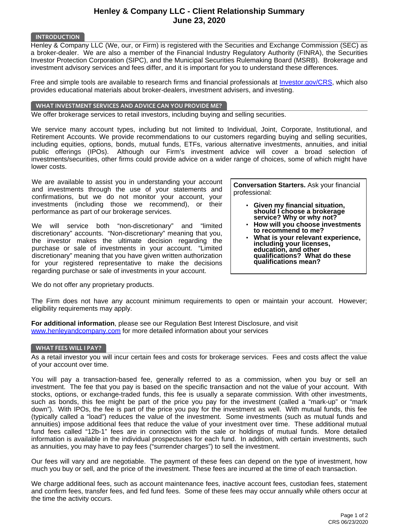# **Henley & Company LLC - Client Relationship Summary June 23, 2020**

#### **INTRODUCTION**

Henley & Company LLC (We, our, or Firm) is registered with the Securities and Exchange Commission (SEC) as a broker-dealer. We are also a member of the Financial Industry Regulatory Authority (FINRA), the Securities Investor Protection Corporation (SIPC), and the Municipal Securities Rulemaking Board (MSRB). Brokerage and investment advisory services and fees differ, and it is important for you to understand these differences.

Free and simple tools are available to research firms and financial professionals at [Investor.gov/CRS,](http://investor.gov/CRS) which also provides educational materials about broker-dealers, investment advisers, and investing.

#### **WHAT INVESTMENT SERVICES AND ADVICE CAN YOU PROVIDE ME?**

We offer brokerage services to retail investors, including buying and selling securities.

We service many account types, including but not limited to Individual, Joint, Corporate, Institutional, and Retirement Accounts. We provide recommendations to our customers regarding buying and selling securities, including equities, options, bonds, mutual funds, ETFs, various alternative investments, annuities, and initial public offerings (IPOs). Although our Firm's investment advice will cover a broad selection of investments/securities, other firms could provide advice on a wider range of choices, some of which might have lower costs.

We are available to assist you in understanding your account and investments through the use of your statements and confirmations, but we do not monitor your account, your investments (including those we recommend), or their performance as part of our brokerage services.

We will service both "non-discretionary" and "limited discretionary" accounts. "Non-discretionary" meaning that you, the investor makes the ultimate decision regarding the purchase or sale of investments in your account. "Limited discretionary" meaning that you have given written authorization for your registered representative to make the decisions regarding purchase or sale of investments in your account.

We do not offer any proprietary products.

**Conversation Starters.** Ask your financial professional:

- **Given my financial situation, should I choose a brokerage service? Why or why not?** •
- **How will you choose investments to recommend to me?** •
- **What is your relevant experience, including your licenses, education, and other qualifications? What do these qualifications mean?** •

The Firm does not have any account minimum requirements to open or maintain your account. However; eligibility requirements may apply.

**For additional information**, please see our Regulation Best Interest Disclosure, and visit [www.henleyandcompany.com](http://www.henleyandcompany.com) for more detailed information about your services

## **WHAT FEES WILL I PAY?**

As a retail investor you will incur certain fees and costs for brokerage services. Fees and costs affect the value of your account over time.

You will pay a transaction-based fee, generally referred to as a commission, when you buy or sell an investment. The fee that you pay is based on the specific transaction and not the value of your account. With stocks, options, or exchange-traded funds, this fee is usually a separate commission. With other investments, such as bonds, this fee might be part of the price you pay for the investment (called a "mark-up" or "mark down"). With IPOs, the fee is part of the price you pay for the investment as well. With mutual funds, this fee (typically called a "load") reduces the value of the investment. Some investments (such as mutual funds and annuities) impose additional fees that reduce the value of your investment over time. These additional mutual fund fees called "12b-1" fees are in connection with the sale or holdings of mutual funds. More detailed information is available in the individual prospectuses for each fund. In addition, with certain investments, such as annuities, you may have to pay fees ("surrender charges") to sell the investment.

Our fees will vary and are negotiable. The payment of these fees can depend on the type of investment, how much you buy or sell, and the price of the investment. These fees are incurred at the time of each transaction.

We charge additional fees, such as account maintenance fees, inactive account fees, custodian fees, statement and confirm fees, transfer fees, and fed fund fees. Some of these fees may occur annually while others occur at the time the activity occurs.